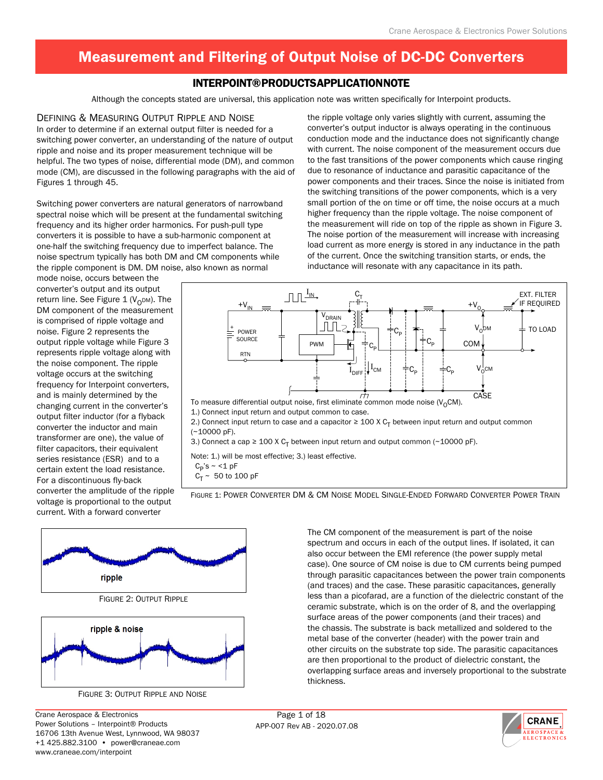### Interpoint® Products Application Note

Although the concepts stated are universal, this application note was written specifically for Interpoint products.

Defining & Measuring Output Ripple and Noise In order to determine if an external output filter is needed for a switching power converter, an understanding of the nature of output ripple and noise and its proper measurement technique will be helpful. The two types of noise, differential mode (DM), and common mode (CM), are discussed in the following paragraphs with the aid of Figures 1 through 45.

Switching power converters are natural generators of narrowband spectral noise which will be present at the fundamental switching frequency and its higher order harmonics. For push-pull type converters it is possible to have a sub-harmonic component at one-half the switching frequency due to imperfect balance. The noise spectrum typically has both DM and CM components while the ripple component is DM. DM noise, also known as normal

the ripple voltage only varies slightly with current, assuming the converter's output inductor is always operating in the continuous conduction mode and the inductance does not significantly change with current. The noise component of the measurement occurs due to the fast transitions of the power components which cause ringing due to resonance of inductance and parasitic capacitance of the power components and their traces. Since the noise is initiated from the switching transitions of the power components, which is a very small portion of the on time or off time, the noise occurs at a much higher frequency than the ripple voltage. The noise component of the measurement will ride on top of the ripple as shown in Figure 3. The noise portion of the measurement will increase with increasing load current as more energy is stored in any inductance in the path of the current. Once the switching transition starts, or ends, the inductance will resonate with any capacitance in its path.

mode noise, occurs between the converter's output and its output return line. See Figure 1 ( $V<sub>O</sub>DM$ ). The DM component of the measurement is comprised of ripple voltage and noise. Figure 2 represents the output ripple voltage while Figure 3 represents ripple voltage along with the noise component. The ripple voltage occurs at the switching frequency for Interpoint converters, and is mainly determined by the changing current in the converter's output filter inductor (for a flyback converter the inductor and main transformer are one), the value of filter capacitors, their equivalent series resistance (ESR) and to a certain extent the load resistance. For a discontinuous fly-back converter the amplitude of the ripple voltage is proportional to the output current. With a forward converter



3.) Connect a cap  $\geq 100$  X C<sub>T</sub> between input return and output common (~10000 pF).

Note: 1.) will be most effective; 3.) least effective.

 $C_P$ 's ~ <1 pF

 $C_T \sim 50$  to 100 pF

Figure 1: Power Converter DM & CM Noise Model Single-Ended Forward Converter Power Train





Crane Aerospace & Electronics Page 1 of 18 Power Solutions – Interpoint® Products 16706 13th Avenue West, Lynnwood, WA 98037 +1 425.882.3100 • power@craneae.com www.craneae.com/interpoint

The CM component of the measurement is part of the noise spectrum and occurs in each of the output lines. If isolated, it can also occur between the EMI reference (the power supply metal case). One source of CM noise is due to CM currents being pumped through parasitic capacitances between the power train components (and traces) and the case. These parasitic capacitances, generally less than a picofarad, are a function of the dielectric constant of the ceramic substrate, which is on the order of 8, and the overlapping surface areas of the power components (and their traces) and the chassis. The substrate is back metallized and soldered to the metal base of the converter (header) with the power train and other circuits on the substrate top side. The parasitic capacitances are then proportional to the product of dielectric constant, the overlapping surface areas and inversely proportional to the substrate thickness.

APP-007 Rev AB - 2020.07.08

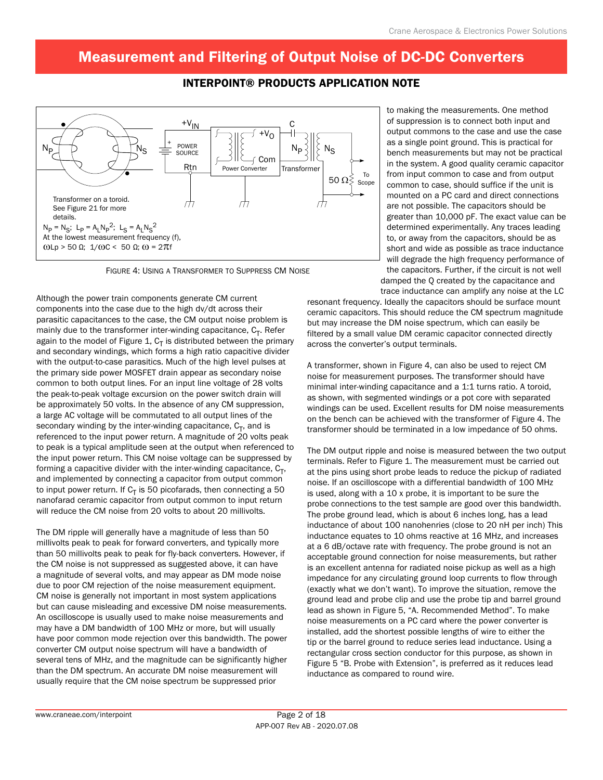### Interpoint® Products Application Note



Figure 4: Using a Transformer to Suppress CM Noise

Although the power train components generate CM current components into the case due to the high dv/dt across their parasitic capacitances to the case, the CM output noise problem is mainly due to the transformer inter-winding capacitance,  $C_T$ . Refer again to the model of Figure 1,  $C_T$  is distributed between the primary and secondary windings, which forms a high ratio capacitive divider with the output-to-case parasitics. Much of the high level pulses at the primary side power MOSFET drain appear as secondary noise common to both output lines. For an input line voltage of 28 volts the peak-to-peak voltage excursion on the power switch drain will be approximately 50 volts. In the absence of any CM suppression, a large AC voltage will be commutated to all output lines of the secondary winding by the inter-winding capacitance,  $C_T$ , and is referenced to the input power return. A magnitude of 20 volts peak to peak is a typical amplitude seen at the output when referenced to the input power return. This CM noise voltage can be suppressed by forming a capacitive divider with the inter-winding capacitance,  $C_T$ , and implemented by connecting a capacitor from output common to input power return. If  $C_T$  is 50 picofarads, then connecting a 50 nanofarad ceramic capacitor from output common to input return will reduce the CM noise from 20 volts to about 20 millivolts.

The DM ripple will generally have a magnitude of less than 50 millivolts peak to peak for forward converters, and typically more than 50 millivolts peak to peak for fly-back converters. However, if the CM noise is not suppressed as suggested above, it can have a magnitude of several volts, and may appear as DM mode noise due to poor CM rejection of the noise measurement equipment. CM noise is generally not important in most system applications but can cause misleading and excessive DM noise measurements. An oscilloscope is usually used to make noise measurements and may have a DM bandwidth of 100 MHz or more, but will usually have poor common mode rejection over this bandwidth. The power converter CM output noise spectrum will have a bandwidth of several tens of MHz, and the magnitude can be significantly higher than the DM spectrum. An accurate DM noise measurement will usually require that the CM noise spectrum be suppressed prior

to making the measurements. One method of suppression is to connect both input and output commons to the case and use the case as a single point ground. This is practical for bench measurements but may not be practical in the system. A good quality ceramic capacitor from input common to case and from output common to case, should suffice if the unit is mounted on a PC card and direct connections are not possible. The capacitors should be greater than 10,000 pF. The exact value can be determined experimentally. Any traces leading to, or away from the capacitors, should be as short and wide as possible as trace inductance will degrade the high frequency performance of the capacitors. Further, if the circuit is not well damped the Q created by the capacitance and trace inductance can amplify any noise at the LC

resonant frequency. Ideally the capacitors should be surface mount ceramic capacitors. This should reduce the CM spectrum magnitude but may increase the DM noise spectrum, which can easily be filtered by a small value DM ceramic capacitor connected directly across the converter's output terminals.

A transformer, shown in Figure 4, can also be used to reject CM noise for measurement purposes. The transformer should have minimal inter-winding capacitance and a 1:1 turns ratio. A toroid, as shown, with segmented windings or a pot core with separated windings can be used. Excellent results for DM noise measurements on the bench can be achieved with the transformer of Figure 4. The transformer should be terminated in a low impedance of 50 ohms.

The DM output ripple and noise is measured between the two output terminals. Refer to Figure 1. The measurement must be carried out at the pins using short probe leads to reduce the pickup of radiated noise. If an oscilloscope with a differential bandwidth of 100 MHz is used, along with a 10 x probe, it is important to be sure the probe connections to the test sample are good over this bandwidth. The probe ground lead, which is about 6 inches long, has a lead inductance of about 100 nanohenries (close to 20 nH per inch) This inductance equates to 10 ohms reactive at 16 MHz, and increases at a 6 dB/octave rate with frequency. The probe ground is not an acceptable ground connection for noise measurements, but rather is an excellent antenna for radiated noise pickup as well as a high impedance for any circulating ground loop currents to flow through (exactly what we don't want). To improve the situation, remove the ground lead and probe clip and use the probe tip and barrel ground lead as shown in Figure 5, "A. Recommended Method". To make noise measurements on a PC card where the power converter is installed, add the shortest possible lengths of wire to either the tip or the barrel ground to reduce series lead inductance. Using a rectangular cross section conductor for this purpose, as shown in Figure 5 "B. Probe with Extension", is preferred as it reduces lead inductance as compared to round wire.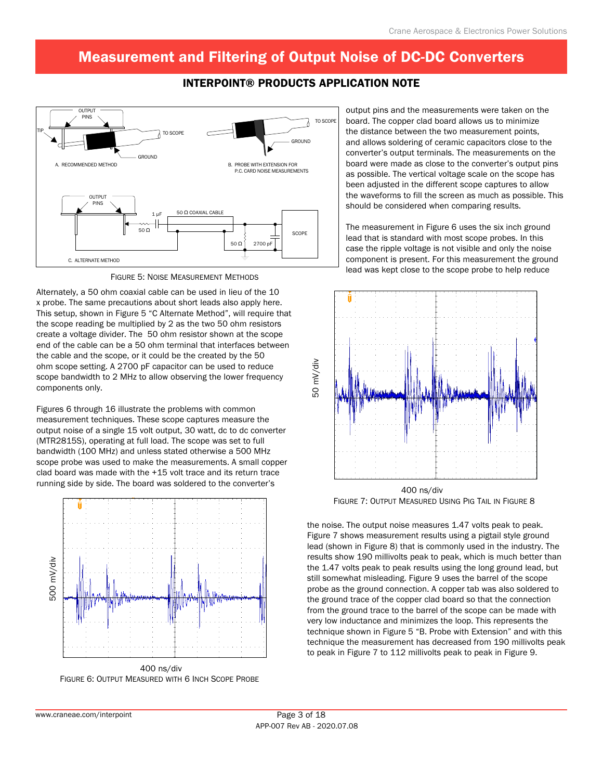### Interpoint® Products Application Note



Figure 5: Noise Measurement Methods

Alternately, a 50 ohm coaxial cable can be used in lieu of the 10 x probe. The same precautions about short leads also apply here. This setup, shown in Figure 5 "C Alternate Method", will require that the scope reading be multiplied by 2 as the two 50 ohm resistors create a voltage divider. The 50 ohm resistor shown at the scope end of the cable can be a 50 ohm terminal that interfaces between the cable and the scope, or it could be the created by the 50 ohm scope setting. A 2700 pF capacitor can be used to reduce scope bandwidth to 2 MHz to allow observing the lower frequency components only.

Figures 6 through 16 illustrate the problems with common measurement techniques. These scope captures measure the output noise of a single 15 volt output, 30 watt, dc to dc converter (MTR2815S), operating at full load. The scope was set to full bandwidth (100 MHz) and unless stated otherwise a 500 MHz scope probe was used to make the measurements. A small copper clad board was made with the +15 volt trace and its return trace running side by side. The board was soldered to the converter's



Figure 6: Output Measured with 6 Inch Scope Probe

output pins and the measurements were taken on the board. The copper clad board allows us to minimize the distance between the two measurement points, and allows soldering of ceramic capacitors close to the converter's output terminals. The measurements on the board were made as close to the converter's output pins as possible. The vertical voltage scale on the scope has been adjusted in the different scope captures to allow the waveforms to fill the screen as much as possible. This should be considered when comparing results.

The measurement in Figure 6 uses the six inch ground lead that is standard with most scope probes. In this case the ripple voltage is not visible and only the noise component is present. For this measurement the ground lead was kept close to the scope probe to help reduce



Figure 7: Output Measured Using Pig Tail in Figure 8

the noise. The output noise measures 1.47 volts peak to peak. Figure 7 shows measurement results using a pigtail style ground lead (shown in Figure 8) that is commonly used in the industry. The results show 190 millivolts peak to peak, which is much better than the 1.47 volts peak to peak results using the long ground lead, but still somewhat misleading. Figure 9 uses the barrel of the scope probe as the ground connection. A copper tab was also soldered to the ground trace of the copper clad board so that the connection from the ground trace to the barrel of the scope can be made with very low inductance and minimizes the loop. This represents the technique shown in Figure 5 "B. Probe with Extension" and with this technique the measurement has decreased from 190 millivolts peak to peak in Figure 7 to 112 millivolts peak to peak in Figure 9.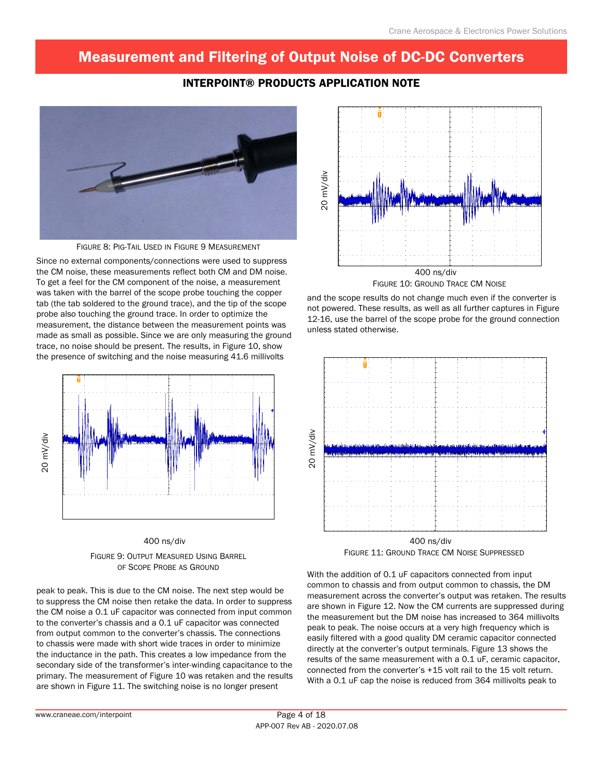### Interpoint® Products Application Note



Figure 8: Pig-Tail Used in Figure 9 Measurement

Since no external components/connections were used to suppress the CM noise, these measurements reflect both CM and DM noise. To get a feel for the CM component of the noise, a measurement was taken with the barrel of the scope probe touching the copper tab (the tab soldered to the ground trace), and the tip of the scope probe also touching the ground trace. In order to optimize the measurement, the distance between the measurement points was made as small as possible. Since we are only measuring the ground trace, no noise should be present. The results, in Figure 10, show the presence of switching and the noise measuring 41.6 millivolts





peak to peak. This is due to the CM noise. The next step would be to suppress the CM noise then retake the data. In order to suppress the CM noise a 0.1 uF capacitor was connected from input common to the converter's chassis and a 0.1 uF capacitor was connected from output common to the converter's chassis. The connections to chassis were made with short wide traces in order to minimize the inductance in the path. This creates a low impedance from the secondary side of the transformer's inter-winding capacitance to the primary. The measurement of Figure 10 was retaken and the results are shown in Figure 11. The switching noise is no longer present



and the scope results do not change much even if the converter is not powered. These results, as well as all further captures in Figure 12-16, use the barrel of the scope probe for the ground connection unless stated otherwise.



Figure 11: Ground Trace CM Noise Suppressed

With the addition of 0.1 uF capacitors connected from input common to chassis and from output common to chassis, the DM measurement across the converter's output was retaken. The results are shown in Figure 12. Now the CM currents are suppressed during the measurement but the DM noise has increased to 364 millivolts peak to peak. The noise occurs at a very high frequency which is easily filtered with a good quality DM ceramic capacitor connected directly at the converter's output terminals. Figure 13 shows the results of the same measurement with a 0.1 uF, ceramic capacitor, connected from the converter's +15 volt rail to the 15 volt return. With a 0.1 uF cap the noise is reduced from 364 millivolts peak to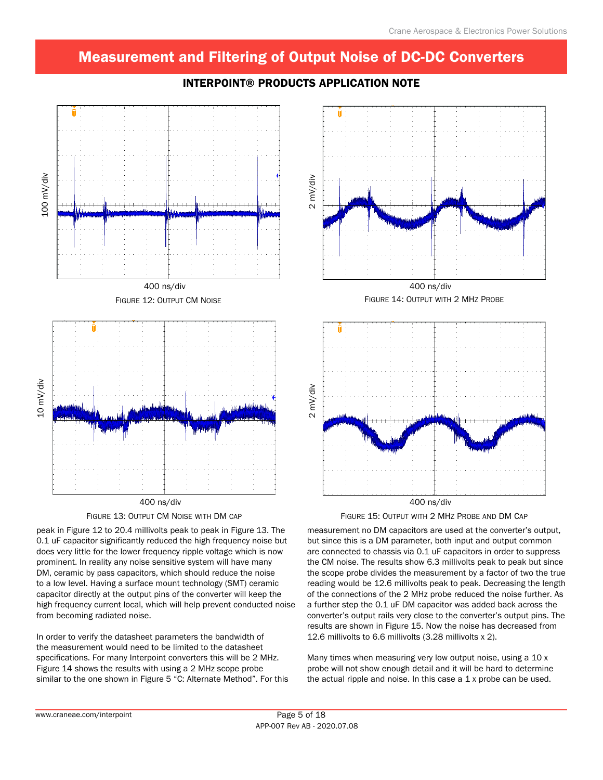

### Interpoint® Products Application Note



peak in Figure 12 to 20.4 millivolts peak to peak in Figure 13. The 0.1 uF capacitor significantly reduced the high frequency noise but does very little for the lower frequency ripple voltage which is now prominent. In reality any noise sensitive system will have many DM, ceramic by pass capacitors, which should reduce the noise to a low level. Having a surface mount technology (SMT) ceramic capacitor directly at the output pins of the converter will keep the high frequency current local, which will help prevent conducted noise from becoming radiated noise.

In order to verify the datasheet parameters the bandwidth of the measurement would need to be limited to the datasheet specifications. For many Interpoint converters this will be 2 MHz. Figure 14 shows the results with using a 2 MHz scope probe similar to the one shown in Figure 5 "C: Alternate Method". For this



FIGURE 15: OUTPUT WITH 2 MHZ PROBE AND DM CAP

measurement no DM capacitors are used at the converter's output, but since this is a DM parameter, both input and output common are connected to chassis via 0.1 uF capacitors in order to suppress the CM noise. The results show 6.3 millivolts peak to peak but since the scope probe divides the measurement by a factor of two the true reading would be 12.6 millivolts peak to peak. Decreasing the length of the connections of the 2 MHz probe reduced the noise further. As a further step the 0.1 uF DM capacitor was added back across the converter's output rails very close to the converter's output pins. The results are shown in Figure 15. Now the noise has decreased from 12.6 millivolts to 6.6 millivolts (3.28 millivolts x 2).

Many times when measuring very low output noise, using a 10 x probe will not show enough detail and it will be hard to determine the actual ripple and noise. In this case a  $1 \times$  probe can be used.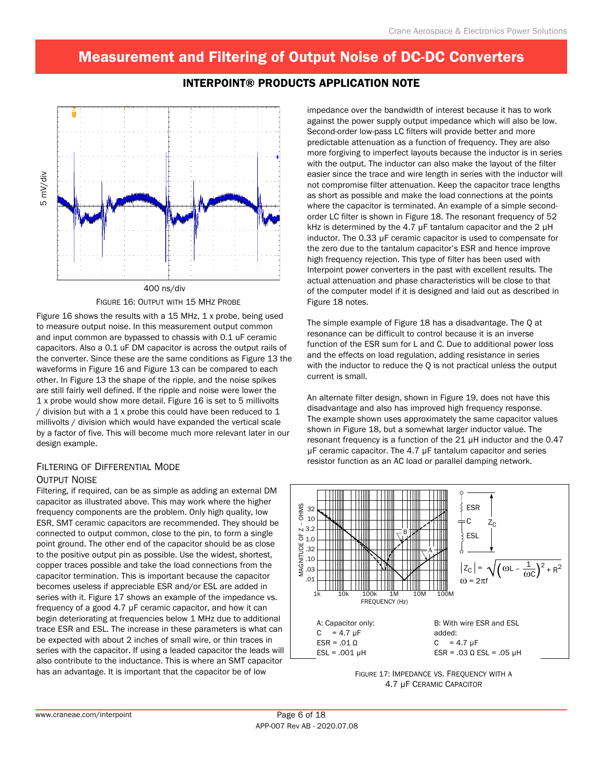Interpoint® Products Application Note



#### Figure 16: Output with 15 MHz Probe

Figure 16 shows the results with a 15 MHz, 1 x probe, being used to measure output noise. In this measurement output common and input common are bypassed to chassis with 0.1 uF ceramic capacitors. Also a 0.1 uF DM capacitor is across the output rails of the converter. Since these are the same conditions as Figure 13 the waveforms in Figure 16 and Figure 13 can be compared to each other. In Figure 13 the shape of the ripple, and the noise spikes are still fairly well defined. If the ripple and noise were lower the 1 x probe would show more detail. Figure 16 is set to 5 millivolts / division but with a  $1 x$  probe this could have been reduced to  $1$ millivolts / division which would have expanded the vertical scale by a factor of five. This will become much more relevant later in our design example.

#### Filtering of Differential Mode Output Noise

Filtering, if required, can be as simple as adding an external DM capacitor as illustrated above. This may work where the higher frequency components are the problem. Only high quality, low ESR, SMT ceramic capacitors are recommended. They should be connected to output common, close to the pin, to form a single point ground. The other end of the capacitor should be as close to the positive output pin as possible. Use the widest, shortest, copper traces possible and take the load connections from the capacitor termination. This is important because the capacitor becomes useless if appreciable ESR and/or ESL are added in series with it. Figure 17 shows an example of the impedance vs. frequency of a good 4.7 µF ceramic capacitor, and how it can begin deteriorating at frequencies below 1 MHz due to additional trace ESR and ESL. The increase in these parameters is what can be expected with about 2 inches of small wire, or thin traces in series with the capacitor. If using a leaded capacitor the leads will also contribute to the inductance. This is where an SMT capacitor has an advantage. It is important that the capacitor be of low

impedance over the bandwidth of interest because it has to work against the power supply output impedance which will also be low. Second-order low-pass LC filters will provide better and more predictable attenuation as a function of frequency. They are also more forgiving to imperfect layouts because the inductor is in series with the output. The inductor can also make the layout of the filter easier since the trace and wire length in series with the inductor will not compromise filter attenuation. Keep the capacitor trace lengths as short as possible and make the load connections at the points where the capacitor is terminated. An example of a simple secondorder LC filter is shown in Figure 18. The resonant frequency of 52 kHz is determined by the 4.7 µF tantalum capacitor and the 2 µH inductor. The 0.33 µF ceramic capacitor is used to compensate for the zero due to the tantalum capacitor's ESR and hence improve high frequency rejection. This type of filter has been used with Interpoint power converters in the past with excellent results. The actual attenuation and phase characteristics will be close to that of the computer model if it is designed and laid out as described in Figure 18 notes.

The simple example of Figure 18 has a disadvantage. The Q at resonance can be difficult to control because it is an inverse function of the ESR sum for L and C. Due to additional power loss and the effects on load regulation, adding resistance in series with the inductor to reduce the Q is not practical unless the output current is small.

An alternate filter design, shown in Figure 19, does not have this disadvantage and also has improved high frequency response. The example shown uses approximately the same capacitor values shown in Figure 18, but a somewhat larger inductor value. The resonant frequency is a function of the 21 µH inductor and the 0.47 µF ceramic capacitor. The 4.7 µF tantalum capacitor and series resistor function as an AC load or parallel damping network.



FIGURE 17: IMPEDANCE VS. FREQUENCY WITH A 4.7 µF Ceramic Capacitor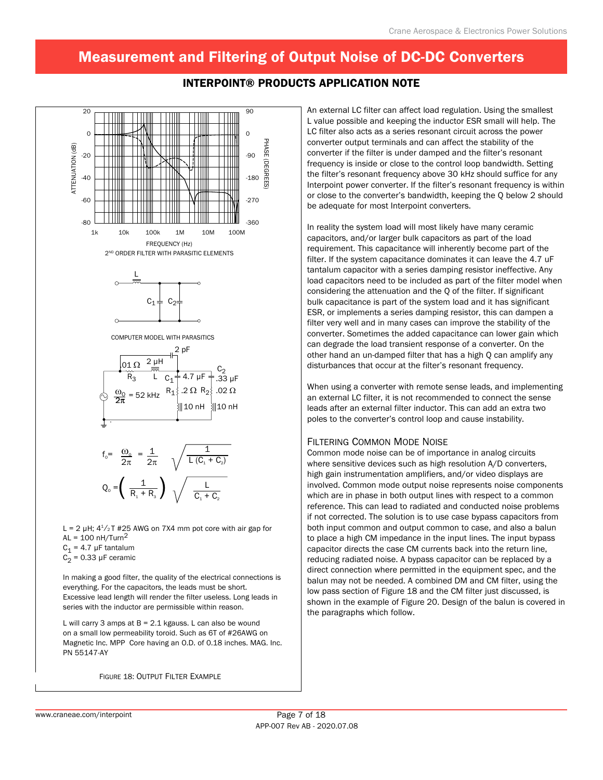

#### Interpoint® Products Application Note

L = 2  $\mu$ H;  $4^{1}/_{2}$ T #25 AWG on 7X4 mm pot core with air gap for AL =  $100$  nH/Turn<sup>2</sup>  $C_1$  = 4.7 µF tantalum  $C_2$  = 0.33 µF ceramic

In making a good filter, the quality of the electrical connections is everything. For the capacitors, the leads must be short. Excessive lead length will render the filter useless. Long leads in series with the inductor are permissible within reason.

L will carry 3 amps at  $B = 2.1$  kgauss. L can also be wound on a small low permeability toroid. Such as 6T of #26AWG on Magnetic Inc. MPP Core having an O.D. of 0.18 inches. MAG. Inc. PN 55147-AY

Figure 18: Output Filter Example

An external LC filter can affect load regulation. Using the smallest L value possible and keeping the inductor ESR small will help. The LC filter also acts as a series resonant circuit across the power converter output terminals and can affect the stability of the converter if the filter is under damped and the filter's resonant frequency is inside or close to the control loop bandwidth. Setting the filter's resonant frequency above 30 kHz should suffice for any Interpoint power converter. If the filter's resonant frequency is within or close to the converter's bandwidth, keeping the Q below 2 should be adequate for most Interpoint converters.

In reality the system load will most likely have many ceramic capacitors, and/or larger bulk capacitors as part of the load requirement. This capacitance will inherently become part of the filter. If the system capacitance dominates it can leave the 4.7 uF tantalum capacitor with a series damping resistor ineffective. Any load capacitors need to be included as part of the filter model when considering the attenuation and the Q of the filter. If significant bulk capacitance is part of the system load and it has significant ESR, or implements a series damping resistor, this can dampen a filter very well and in many cases can improve the stability of the converter. Sometimes the added capacitance can lower gain which can degrade the load transient response of a converter. On the other hand an un-damped filter that has a high Q can amplify any disturbances that occur at the filter's resonant frequency.

When using a converter with remote sense leads, and implementing an external LC filter, it is not recommended to connect the sense leads after an external filter inductor. This can add an extra two poles to the converter's control loop and cause instability.

#### Filtering Common Mode Noise

Common mode noise can be of importance in analog circuits where sensitive devices such as high resolution A/D converters, high gain instrumentation amplifiers, and/or video displays are involved. Common mode output noise represents noise components which are in phase in both output lines with respect to a common reference. This can lead to radiated and conducted noise problems if not corrected. The solution is to use case bypass capacitors from both input common and output common to case, and also a balun to place a high CM impedance in the input lines. The input bypass capacitor directs the case CM currents back into the return line, reducing radiated noise. A bypass capacitor can be replaced by a direct connection where permitted in the equipment spec, and the balun may not be needed. A combined DM and CM filter, using the low pass section of Figure 18 and the CM filter just discussed, is shown in the example of Figure 20. Design of the balun is covered in the paragraphs which follow.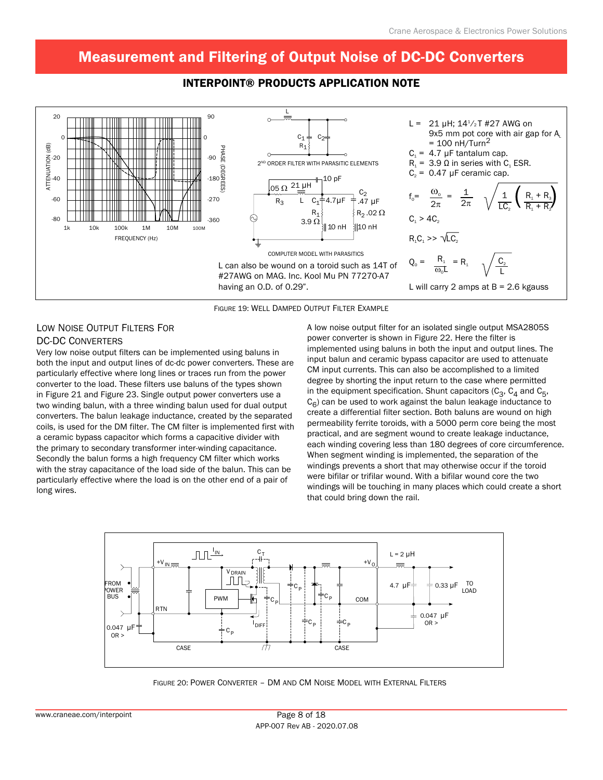



Figure 19: Well Damped Output Filter Example

#### Low Noise Output Filters For DC-DC Converters

Very low noise output filters can be implemented using baluns in both the input and output lines of dc-dc power converters. These are particularly effective where long lines or traces run from the power converter to the load. These filters use baluns of the types shown in Figure 21 and Figure 23. Single output power converters use a two winding balun, with a three winding balun used for dual output converters. The balun leakage inductance, created by the separated coils, is used for the DM filter. The CM filter is implemented first with a ceramic bypass capacitor which forms a capacitive divider with the primary to secondary transformer inter-winding capacitance. Secondly the balun forms a high frequency CM filter which works with the stray capacitance of the load side of the balun. This can be particularly effective where the load is on the other end of a pair of long wires.

A low noise output filter for an isolated single output MSA2805S power converter is shown in Figure 22. Here the filter is implemented using baluns in both the input and output lines. The input balun and ceramic bypass capacitor are used to attenuate CM input currents. This can also be accomplished to a limited degree by shorting the input return to the case where permitted in the equipment specification. Shunt capacitors  $(C_3, C_4$  and  $C_5$ ,  $C_6$ ) can be used to work against the balun leakage inductance to create a differential filter section. Both baluns are wound on high permeability ferrite toroids, with a 5000 perm core being the most practical, and are segment wound to create leakage inductance, each winding covering less than 180 degrees of core circumference. When segment winding is implemented, the separation of the windings prevents a short that may otherwise occur if the toroid were bifilar or trifilar wound. With a bifilar wound core the two windings will be touching in many places which could create a short that could bring down the rail.



Figure 20: Power Converter – DM and CM Noise Model with External Filters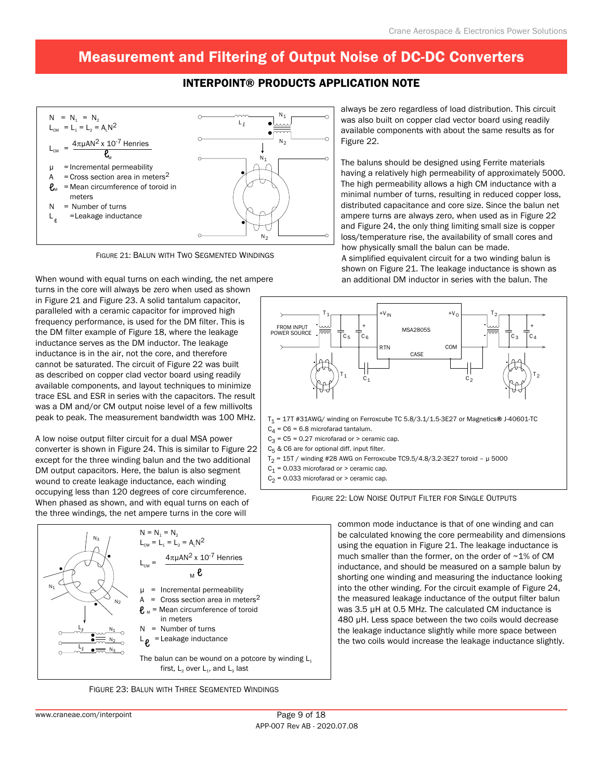### Interpoint® Products Application Note



Figure 21: Balun with Two Segmented Windings

When wound with equal turns on each winding, the net ampere turns in the core will always be zero when used as shown

in Figure 21 and Figure 23. A solid tantalum capacitor, paralleled with a ceramic capacitor for improved high frequency performance, is used for the DM filter. This is the DM filter example of Figure 18, where the leakage inductance serves as the DM inductor. The leakage inductance is in the air, not the core, and therefore cannot be saturated. The circuit of Figure 22 was built as described on copper clad vector board using readily available components, and layout techniques to minimize trace ESL and ESR in series with the capacitors. The result was a DM and/or CM output noise level of a few millivolts peak to peak. The measurement bandwidth was 100 MHz.

A low noise output filter circuit for a dual MSA power converter is shown in Figure 24. This is similar to Figure 22 except for the three winding balun and the two additional DM output capacitors. Here, the balun is also segment wound to create leakage inductance, each winding occupying less than 120 degrees of core circumference. When phased as shown, and with equal turns on each of the three windings, the net ampere turns in the core will



Figure 23: Balun with Three Segmented Windings

always be zero regardless of load distribution. This circuit was also built on copper clad vector board using readily available components with about the same results as for Figure 22.

The baluns should be designed using Ferrite materials having a relatively high permeability of approximately 5000. The high permeability allows a high CM inductance with a minimal number of turns, resulting in reduced copper loss, distributed capacitance and core size. Since the balun net ampere turns are always zero, when used as in Figure 22 and Figure 24, the only thing limiting small size is copper loss/temperature rise, the availability of small cores and how physically small the balun can be made.

A simplified equivalent circuit for a two winding balun is shown on Figure 21. The leakage inductance is shown as an additional DM inductor in series with the balun. The



 $C_1$  = 0.033 microfarad or > ceramic cap.

 $C_2$  = 0.033 microfarad or > ceramic cap.



common mode inductance is that of one winding and can be calculated knowing the core permeability and dimensions using the equation in Figure 21. The leakage inductance is much smaller than the former, on the order of ~1% of CM inductance, and should be measured on a sample balun by shorting one winding and measuring the inductance looking into the other winding. For the circuit example of Figure 24, the measured leakage inductance of the output filter balun was 3.5 µH at 0.5 MHz. The calculated CM inductance is 480 µH. Less space between the two coils would decrease the leakage inductance slightly while more space between the two coils would increase the leakage inductance slightly.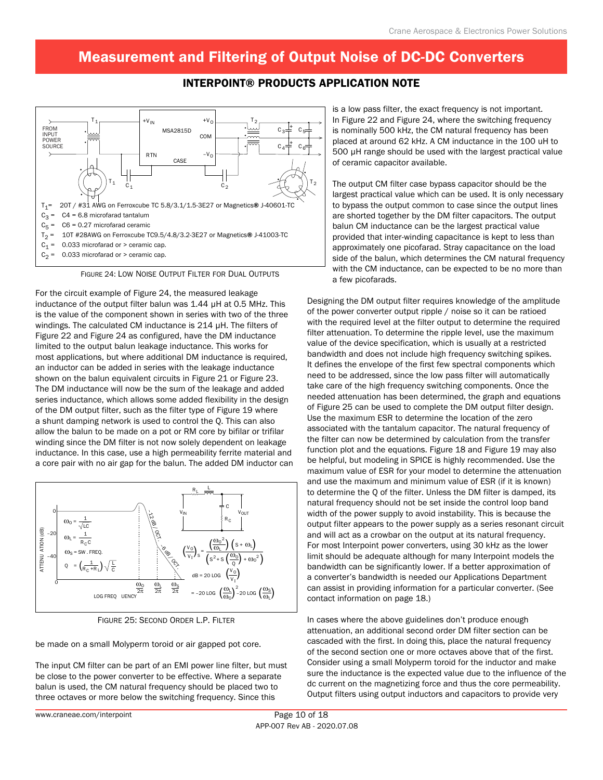### Interpoint® Products Application Note



Figure 24: Low Noise Output Filter for Dual Outputs

For the circuit example of Figure 24, the measured leakage inductance of the output filter balun was 1.44 µH at 0.5 MHz. This is the value of the component shown in series with two of the three windings. The calculated CM inductance is 214 µH. The filters of Figure 22 and Figure 24 as configured, have the DM inductance limited to the output balun leakage inductance. This works for most applications, but where additional DM inductance is required, an inductor can be added in series with the leakage inductance shown on the balun equivalent circuits in Figure 21 or Figure 23. The DM inductance will now be the sum of the leakage and added series inductance, which allows some added flexibility in the design of the DM output filter, such as the filter type of Figure 19 where a shunt damping network is used to control the Q. This can also allow the balun to be made on a pot or RM core by bifilar or trifilar winding since the DM filter is not now solely dependent on leakage inductance. In this case, use a high permeability ferrite material and a core pair with no air gap for the balun. The added DM inductor can



Figure 25: Second Order L.P. Filter

be made on a small Molyperm toroid or air gapped pot core.

The input CM filter can be part of an EMI power line filter, but must be close to the power converter to be effective. Where a separate balun is used, the CM natural frequency should be placed two to three octaves or more below the switching frequency. Since this

is a low pass filter, the exact frequency is not important. In Figure 22 and Figure 24, where the switching frequency is nominally 500 kHz, the CM natural frequency has been placed at around 62 kHz. A CM inductance in the 100 uH to 500 µH range should be used with the largest practical value of ceramic capacitor available.

The output CM filter case bypass capacitor should be the largest practical value which can be used. It is only necessary to bypass the output common to case since the output lines are shorted together by the DM filter capacitors. The output balun CM inductance can be the largest practical value provided that inter-winding capacitance is kept to less than approximately one picofarad. Stray capacitance on the load side of the balun, which determines the CM natural frequency with the CM inductance, can be expected to be no more than a few picofarads.

Designing the DM output filter requires knowledge of the amplitude of the power converter output ripple / noise so it can be ratioed with the required level at the filter output to determine the required filter attenuation. To determine the ripple level, use the maximum value of the device specification, which is usually at a restricted bandwidth and does not include high frequency switching spikes. It defines the envelope of the first few spectral components which need to be addressed, since the low pass filter will automatically take care of the high frequency switching components. Once the needed attenuation has been determined, the graph and equations of Figure 25 can be used to complete the DM output filter design. Use the maximum ESR to determine the location of the zero associated with the tantalum capacitor. The natural frequency of the filter can now be determined by calculation from the transfer function plot and the equations. Figure 18 and Figure 19 may also be helpful, but modeling in SPICE is highly recommended. Use the maximum value of ESR for your model to determine the attenuation and use the maximum and minimum value of ESR (if it is known) to determine the Q of the filter. Unless the DM filter is damped, its natural frequency should not be set inside the control loop band width of the power supply to avoid instability. This is because the output filter appears to the power supply as a series resonant circuit and will act as a crowbar on the output at its natural frequency. For most Interpoint power converters, using 30 kHz as the lower limit should be adequate although for many Interpoint models the bandwidth can be significantly lower. If a better approximation of a converter's bandwidth is needed our Applications Department can assist in providing information for a particular converter. (See contact information on page 18.)

In cases where the above guidelines don't produce enough attenuation, an additional second order DM filter section can be cascaded with the first. In doing this, place the natural frequency of the second section one or more octaves above that of the first. Consider using a small Molyperm toroid for the inductor and make sure the inductance is the expected value due to the influence of the dc current on the magnetizing force and thus the core permeability. Output filters using output inductors and capacitors to provide very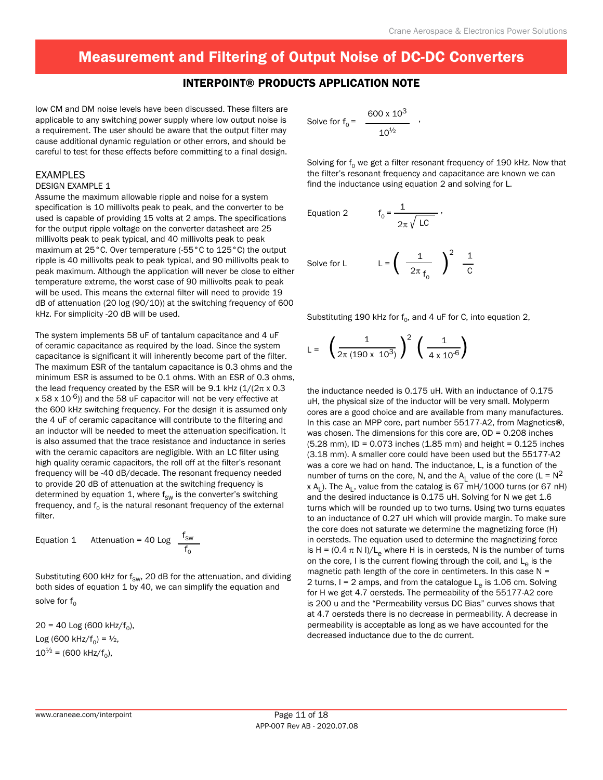#### Interpoint® Products Application Note

low CM and DM noise levels have been discussed. These filters are applicable to any switching power supply where low output noise is a requirement. The user should be aware that the output filter may cause additional dynamic regulation or other errors, and should be careful to test for these effects before committing to a final design.

#### EXAMPLES

#### DESIGN EXAMPLE 1

Assume the maximum allowable ripple and noise for a system specification is 10 millivolts peak to peak, and the converter to be used is capable of providing 15 volts at 2 amps. The specifications for the output ripple voltage on the converter datasheet are 25 millivolts peak to peak typical, and 40 millivolts peak to peak maximum at 25°C. Over temperature (-55°C to 125°C) the output ripple is 40 millivolts peak to peak typical, and 90 millivolts peak to peak maximum. Although the application will never be close to either temperature extreme, the worst case of 90 millivolts peak to peak will be used. This means the external filter will need to provide 19 dB of attenuation (20 log (90/10)) at the switching frequency of 600 kHz. For simplicity -20 dB will be used.

The system implements 58 uF of tantalum capacitance and 4 uF of ceramic capacitance as required by the load. Since the system capacitance is significant it will inherently become part of the filter. The maximum ESR of the tantalum capacitance is 0.3 ohms and the minimum ESR is assumed to be 0.1 ohms. With an ESR of 0.3 ohms, the lead frequency created by the ESR will be  $9.1$  kHz ( $1/(2\pi \times 0.3)$  $x$  58 x 10<sup>-6</sup>)) and the 58 uF capacitor will not be very effective at the 600 kHz switching frequency. For the design it is assumed only the 4 uF of ceramic capacitance will contribute to the filtering and an inductor will be needed to meet the attenuation specification. It is also assumed that the trace resistance and inductance in series with the ceramic capacitors are negligible. With an LC filter using high quality ceramic capacitors, the roll off at the filter's resonant frequency will be -40 dB/decade. The resonant frequency needed to provide 20 dB of attenuation at the switching frequency is determined by equation 1, where  $f_{SW}$  is the converter's switching frequency, and  $f_0$  is the natural resonant frequency of the external filter.

Equation 1 Attention = 40 Log 
$$
\frac{f_{\text{SW}}}{f_0}
$$

Substituting 600 kHz for  $f_{SW}$ , 20 dB for the attenuation, and dividing both sides of equation 1 by 40, we can simplify the equation and solve for  $f_0$ 

 $20 = 40$  Log (600 kHz/f<sub>0</sub>), Log (600 kHz/ $f_0$ ) =  $\frac{1}{2}$ ,  $10^{1/2}$  = (600 kHz/f<sub>0</sub>),

Solve for 
$$
f_0 = \frac{600 \times 10^3}{10^{1/2}}
$$
.

Solving for  $f_0$  we get a filter resonant frequency of 190 kHz. Now that the filter's resonant frequency and capacitance are known we can find the inductance using equation 2 and solving for L.

Equation 2 
$$
f_0 = \frac{1}{2\pi \sqrt{LC}}
$$
,

Solve for L 
$$
L = \left(\begin{array}{cc} \frac{1}{2\pi} & \end{array}\right)^2 \frac{1}{C}
$$

Substituting 190 kHz for  $f_0$ , and 4 uF for C, into equation 2,

$$
L = \left(\frac{1}{2\pi (190 \times 10^3)}\right)^2 \left(\frac{1}{4 \times 10^{-6}}\right)
$$

the inductance needed is 0.175 uH. With an inductance of 0.175 uH, the physical size of the inductor will be very small. Molyperm cores are a good choice and are available from many manufactures. In this case an MPP core, part number 55177-A2, from Magnetics®, was chosen. The dimensions for this core are,  $OD = 0.208$  inches (5.28 mm), ID = 0.073 inches (1.85 mm) and height = 0.125 inches (3.18 mm). A smaller core could have been used but the 55177-A2 was a core we had on hand. The inductance, L, is a function of the number of turns on the core, N, and the A<sub>L</sub> value of the core (L =  $N^2$  $x A_L$ ). The  $A_L$ , value from the catalog is 67 mH/1000 turns (or 67 nH) and the desired inductance is 0.175 uH. Solving for N we get 1.6 turns which will be rounded up to two turns. Using two turns equates to an inductance of 0.27 uH which will provide margin. To make sure the core does not saturate we determine the magnetizing force (H) in oersteds. The equation used to determine the magnetizing force is H =  $(0.4 \pi N I)/L$  where H is in oersteds, N is the number of turns on the core, I is the current flowing through the coil, and  $L_a$  is the magnetic path length of the core in centimeters. In this case  $N =$ 2 turns,  $I = 2$  amps, and from the catalogue  $L<sub>e</sub>$  is 1.06 cm. Solving for H we get 4.7 oersteds. The permeability of the 55177-A2 core is 200 u and the "Permeability versus DC Bias" curves shows that at 4.7 oersteds there is no decrease in permeability. A decrease in permeability is acceptable as long as we have accounted for the decreased inductance due to the dc current.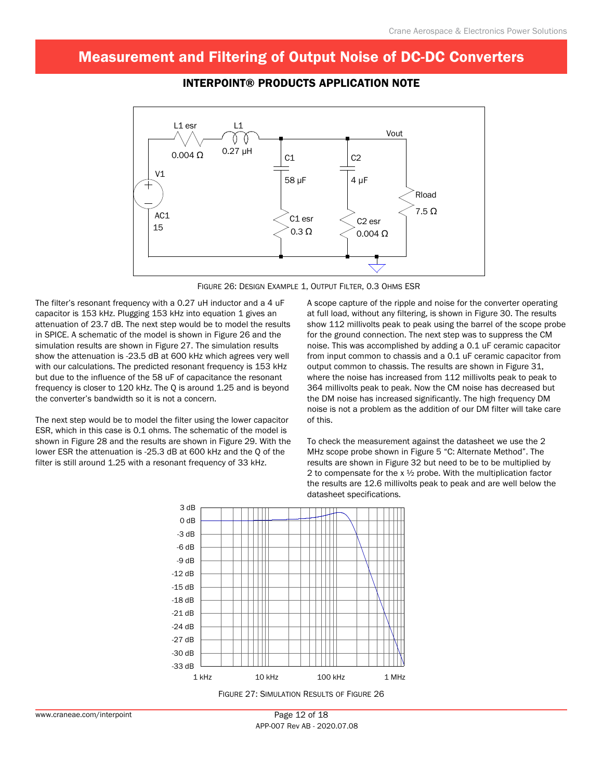

### Interpoint® Products Application Note



The filter's resonant frequency with a 0.27 uH inductor and a 4 uF capacitor is 153 kHz. Plugging 153 kHz into equation 1 gives an attenuation of 23.7 dB. The next step would be to model the results in SPICE. A schematic of the model is shown in Figure 26 and the simulation results are shown in Figure 27. The simulation results show the attenuation is -23.5 dB at 600 kHz which agrees very well with our calculations. The predicted resonant frequency is 153 kHz but due to the influence of the 58 uF of capacitance the resonant frequency is closer to 120 kHz. The Q is around 1.25 and is beyond the converter's bandwidth so it is not a concern.

The next step would be to model the filter using the lower capacitor ESR, which in this case is 0.1 ohms. The schematic of the model is shown in Figure 28 and the results are shown in Figure 29. With the lower ESR the attenuation is -25.3 dB at 600 kHz and the Q of the filter is still around 1.25 with a resonant frequency of 33 kHz.

A scope capture of the ripple and noise for the converter operating at full load, without any filtering, is shown in Figure 30. The results show 112 millivolts peak to peak using the barrel of the scope probe for the ground connection. The next step was to suppress the CM noise. This was accomplished by adding a 0.1 uF ceramic capacitor from input common to chassis and a 0.1 uF ceramic capacitor from output common to chassis. The results are shown in Figure 31, where the noise has increased from 112 millivolts peak to peak to 364 millivolts peak to peak. Now the CM noise has decreased but the DM noise has increased significantly. The high frequency DM noise is not a problem as the addition of our DM filter will take care of this.

To check the measurement against the datasheet we use the 2 MHz scope probe shown in Figure 5 "C: Alternate Method". The results are shown in Figure 32 but need to be to be multiplied by 2 to compensate for the  $x \frac{1}{2}$  probe. With the multiplication factor the results are 12.6 millivolts peak to peak and are well below the datasheet specifications.

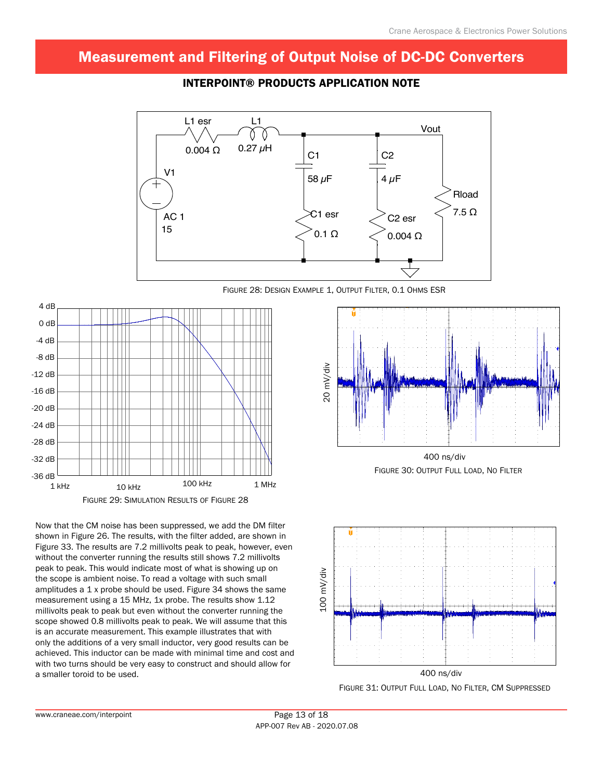

### Interpoint® Products Application Note



Now that the CM noise has been suppressed, we add the DM filter shown in Figure 26. The results, with the filter added, are shown in Figure 33. The results are 7.2 millivolts peak to peak, however, even without the converter running the results still shows 7.2 millivolts peak to peak. This would indicate most of what is showing up on the scope is ambient noise. To read a voltage with such small amplitudes a 1 x probe should be used. Figure 34 shows the same measurement using a 15 MHz, 1x probe. The results show 1.12 millivolts peak to peak but even without the converter running the scope showed 0.8 millivolts peak to peak. We will assume that this is an accurate measurement. This example illustrates that with only the additions of a very small inductor, very good results can be achieved. This inductor can be made with minimal time and cost and with two turns should be very easy to construct and should allow for a smaller toroid to be used.



Figure 30: Output Full Load, No Filter



Figure 31: Output Full Load, No Filter, CM Suppressed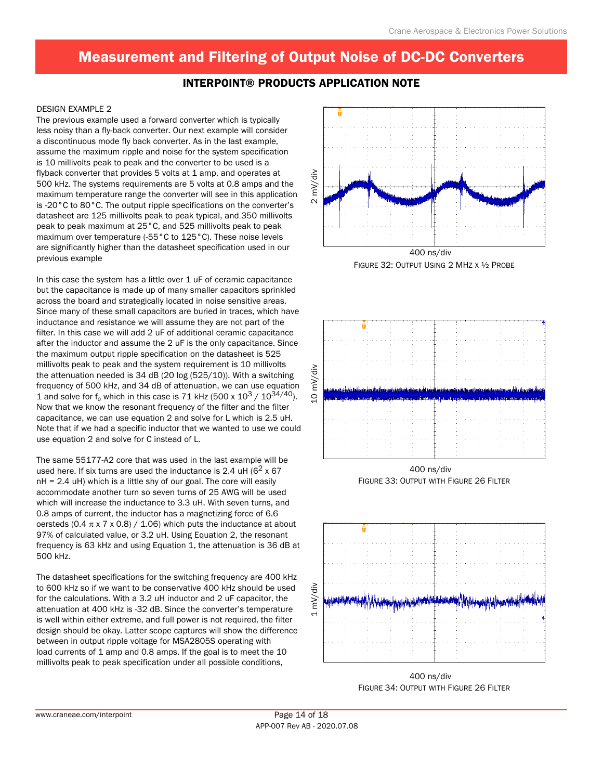### Interpoint® Products Application Note

#### DESIGN EXAMPLE 2

The previous example used a forward converter which is typically less noisy than a fly-back converter. Our next example will consider a discontinuous mode fly back converter. As in the last example, assume the maximum ripple and noise for the system specification is 10 millivolts peak to peak and the converter to be used is a flyback converter that provides 5 volts at 1 amp, and operates at 500 kHz. The systems requirements are 5 volts at 0.8 amps and the maximum temperature range the converter will see in this application is -20°C to 80°C. The output ripple specifications on the converter's datasheet are 125 millivolts peak to peak typical, and 350 millivolts peak to peak maximum at 25°C, and 525 millivolts peak to peak maximum over temperature (-55°C to 125°C). These noise levels are significantly higher than the datasheet specification used in our previous example

In this case the system has a little over  $1$  uF of ceramic capacitance but the capacitance is made up of many smaller capacitors sprinkled across the board and strategically located in noise sensitive areas. Since many of these small capacitors are buried in traces, which have inductance and resistance we will assume they are not part of the filter. In this case we will add 2 uF of additional ceramic capacitance after the inductor and assume the 2 uF is the only capacitance. Since the maximum output ripple specification on the datasheet is 525 millivolts peak to peak and the system requirement is 10 millivolts the attenuation needed is 34 dB (20 log (525/10)). With a switching frequency of 500 kHz, and 34 dB of attenuation, we can use equation 1 and solve for  $f_0$  which in this case is 71 kHz (500 x  $10^3 / 10^{34/40}$ ). Now that we know the resonant frequency of the filter and the filter capacitance, we can use equation 2 and solve for L which is 2.5 uH. Note that if we had a specific inductor that we wanted to use we could use equation 2 and solve for C instead of L.

The same 55177-A2 core that was used in the last example will be used here. If six turns are used the inductance is 2.4 uH ( $6<sup>2</sup>$  x 67) nH = 2.4 uH) which is a little shy of our goal. The core will easily accommodate another turn so seven turns of 25 AWG will be used which will increase the inductance to 3.3 uH. With seven turns, and 0.8 amps of current, the inductor has a magnetizing force of 6.6 oersteds (0.4  $\pi$  x 7 x 0.8) / 1.06) which puts the inductance at about 97% of calculated value, or 3.2 uH. Using Equation 2, the resonant frequency is 63 kHz and using Equation 1, the attenuation is 36 dB at 500 kHz.

The datasheet specifications for the switching frequency are 400 kHz to 600 kHz so if we want to be conservative 400 kHz should be used for the calculations. With a 3.2 uH inductor and 2 uF capacitor, the attenuation at 400 kHz is -32 dB. Since the converter's temperature is well within either extreme, and full power is not required, the filter design should be okay. Latter scope captures will show the difference between in output ripple voltage for MSA2805S operating with load currents of 1 amp and 0.8 amps. If the goal is to meet the 10 millivolts peak to peak specification under all possible conditions,



Figure 32: Output Using 2 MHz x ½ Probe



Figure 33: Output with Figure 26 Filter 400 ns/div



Figure 34: Output with Figure 26 Filter 400 ns/div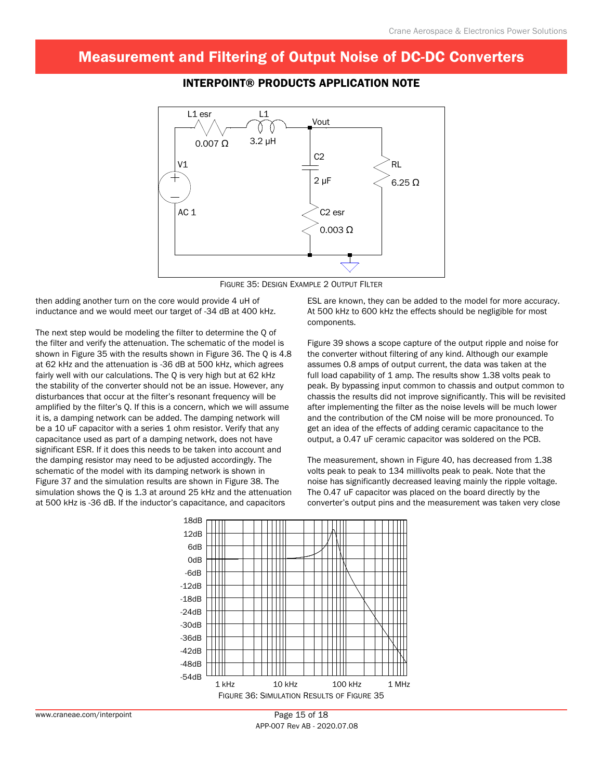

### Interpoint® Products Application Note



then adding another turn on the core would provide 4 uH of inductance and we would meet our target of -34 dB at 400 kHz.

The next step would be modeling the filter to determine the Q of the filter and verify the attenuation. The schematic of the model is shown in Figure 35 with the results shown in Figure 36. The Q is 4.8 at 62 kHz and the attenuation is -36 dB at 500 kHz, which agrees fairly well with our calculations. The Q is very high but at 62 kHz the stability of the converter should not be an issue. However, any disturbances that occur at the filter's resonant frequency will be amplified by the filter's Q. If this is a concern, which we will assume it is, a damping network can be added. The damping network will be a 10 uF capacitor with a series 1 ohm resistor. Verify that any capacitance used as part of a damping network, does not have significant ESR. If it does this needs to be taken into account and the damping resistor may need to be adjusted accordingly. The schematic of the model with its damping network is shown in Figure 37 and the simulation results are shown in Figure 38. The simulation shows the Q is 1.3 at around 25 kHz and the attenuation at 500 kHz is -36 dB. If the inductor's capacitance, and capacitors

ESL are known, they can be added to the model for more accuracy. At 500 kHz to 600 kHz the effects should be negligible for most components.

Figure 39 shows a scope capture of the output ripple and noise for the converter without filtering of any kind. Although our example assumes 0.8 amps of output current, the data was taken at the full load capability of 1 amp. The results show 1.38 volts peak to peak. By bypassing input common to chassis and output common to chassis the results did not improve significantly. This will be revisited after implementing the filter as the noise levels will be much lower and the contribution of the CM noise will be more pronounced. To get an idea of the effects of adding ceramic capacitance to the output, a 0.47 uF ceramic capacitor was soldered on the PCB.

The measurement, shown in Figure 40, has decreased from 1.38 volts peak to peak to 134 millivolts peak to peak. Note that the noise has significantly decreased leaving mainly the ripple voltage. The 0.47 uF capacitor was placed on the board directly by the converter's output pins and the measurement was taken very close

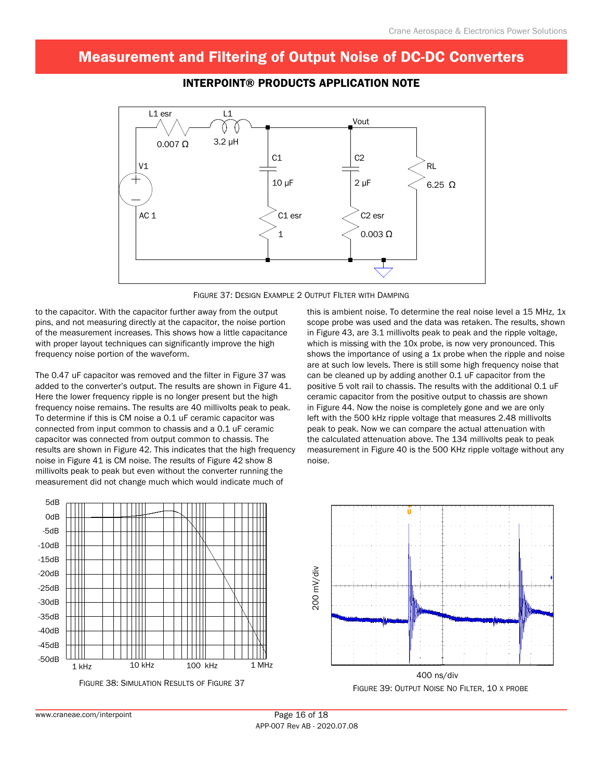

### Interpoint® Products Application Note



to the capacitor. With the capacitor further away from the output pins, and not measuring directly at the capacitor, the noise portion of the measurement increases. This shows how a little capacitance with proper layout techniques can significantly improve the high frequency noise portion of the waveform.

The 0.47 uF capacitor was removed and the filter in Figure 37 was added to the converter's output. The results are shown in Figure 41. Here the lower frequency ripple is no longer present but the high frequency noise remains. The results are 40 millivolts peak to peak. To determine if this is CM noise a 0.1 uF ceramic capacitor was connected from input common to chassis and a 0.1 uF ceramic capacitor was connected from output common to chassis. The results are shown in Figure 42. This indicates that the high frequency noise in Figure 41 is CM noise. The results of Figure 42 show 8 millivolts peak to peak but even without the converter running the measurement did not change much which would indicate much of

this is ambient noise. To determine the real noise level a 15 MHz, 1x scope probe was used and the data was retaken. The results, shown in Figure 43, are 3.1 millivolts peak to peak and the ripple voltage, which is missing with the 10x probe, is now very pronounced. This shows the importance of using a 1x probe when the ripple and noise are at such low levels. There is still some high frequency noise that can be cleaned up by adding another 0.1 uF capacitor from the positive 5 volt rail to chassis. The results with the additional 0.1 uF ceramic capacitor from the positive output to chassis are shown in Figure 44. Now the noise is completely gone and we are only left with the 500 kHz ripple voltage that measures 2.48 millivolts peak to peak. Now we can compare the actual attenuation with the calculated attenuation above. The 134 millivolts peak to peak measurement in Figure 40 is the 500 KHz ripple voltage without any noise.



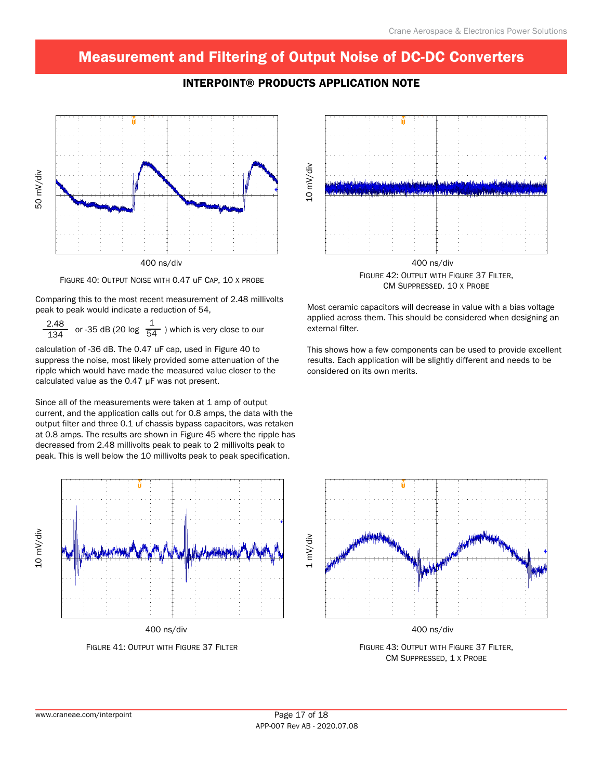



Figure 40: Output Noise with 0.47 uF Cap, 10 x probe

Comparing this to the most recent measurement of 2.48 millivolts peak to peak would indicate a reduction of 54,

 $\frac{2.48}{134}$  or -35 dB (20 log  $\frac{1}{54}$ ) which is very close to our

calculation of -36 dB. The 0.47 uF cap, used in Figure 40 to suppress the noise, most likely provided some attenuation of the ripple which would have made the measured value closer to the calculated value as the 0.47 µF was not present.

Since all of the measurements were taken at 1 amp of output current, and the application calls out for 0.8 amps, the data with the output filter and three 0.1 uf chassis bypass capacitors, was retaken at 0.8 amps. The results are shown in Figure 45 where the ripple has decreased from 2.48 millivolts peak to peak to 2 millivolts peak to peak. This is well below the 10 millivolts peak to peak specification.



400 ns/div

Figure 41: Output with Figure 37 Filter



Figure 42: Output with Figure 37 Filter, CM Suppressed. 10 x Probe

Most ceramic capacitors will decrease in value with a bias voltage applied across them. This should be considered when designing an external filter.

This shows how a few components can be used to provide excellent results. Each application will be slightly different and needs to be considered on its own merits.



400 ns/div

Figure 43: Output with Figure 37 Filter, CM Suppressed, 1 x Probe

10 mV/div

10 mV/div